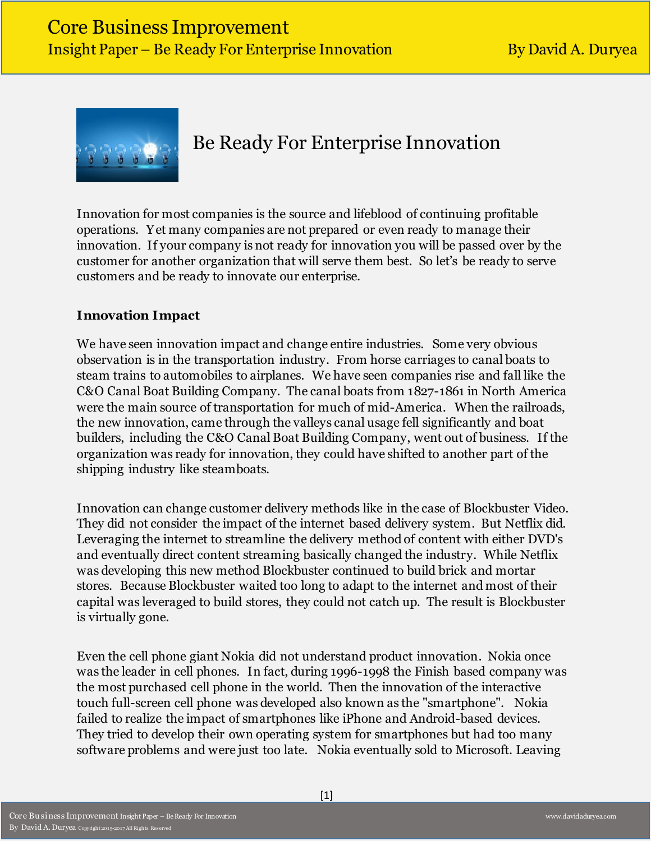

# Be Ready For Enterprise Innovation

Innovation for most companies is the source and lifeblood of continuing profitable operations. Yet many companies are not prepared or even ready to manage their innovation. If your company is not ready for innovation you will be passed over by the customer for another organization that will serve them best. So let's be ready to serve customers and be ready to innovate our enterprise.

# **Innovation Impact**

We have seen innovation impact and change entire industries. Some very obvious observation is in the transportation industry. From horse carriages to canal boats to steam trains to automobiles to airplanes. We have seen companies rise and fall like the C&O Canal Boat Building Company. The canal boats from 1827-1861 in North America were the main source of transportation for much of mid-America. When the railroads, the new innovation, came through the valleys canal usage fell significantly and boat builders, including the C&O Canal Boat Building Company, went out of business. If the organization was ready for innovation, they could have shifted to another part of the shipping industry like steamboats.

Innovation can change customer delivery methods like in the case of Blockbuster Video. They did not consider the impact of the internet based delivery system. But Netflix did. Leveraging the internet to streamline the delivery method of content with either DVD's and eventually direct content streaming basically changed the industry. While Netflix was developing this new method Blockbuster continued to build brick and mortar stores. Because Blockbuster waited too long to adapt to the internet and most of their capital was leveraged to build stores, they could not catch up. The result is Blockbuster is virtually gone.

Even the cell phone giant Nokia did not understand product innovation. Nokia once was the leader in cell phones. In fact, during 1996-1998 the Finish based company was the most purchased cell phone in the world. Then the innovation of the interactive touch full-screen cell phone was developed also known as the "smartphone". Nokia failed to realize the impact of smartphones like iPhone and Android-based devices. They tried to develop their own operating system for smartphones but had too many software problems and were just too late. Nokia eventually sold to Microsoft. Leaving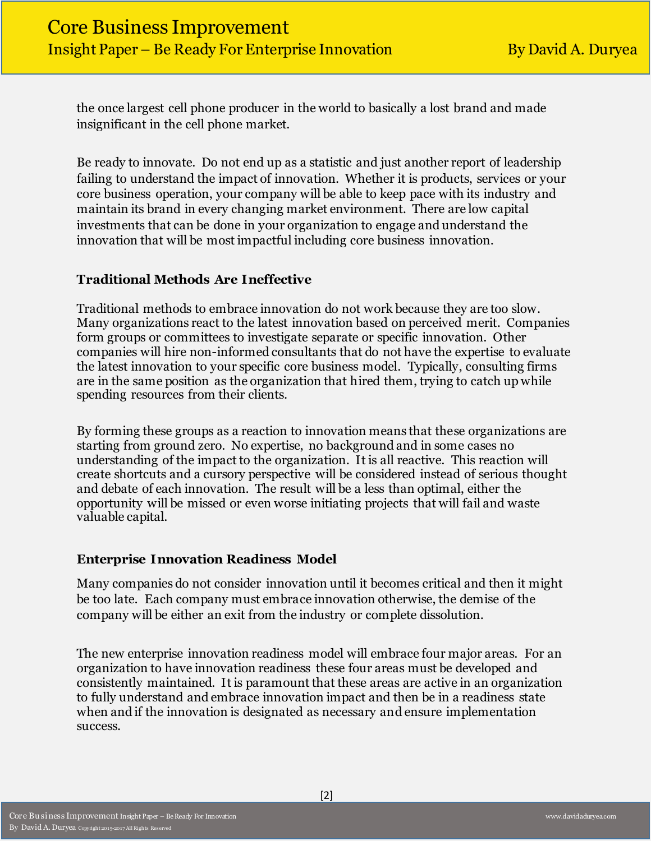the once largest cell phone producer in the world to basically a lost brand and made insignificant in the cell phone market.

Be ready to innovate. Do not end up as a statistic and just another report of leadership failing to understand the impact of innovation. Whether it is products, services or your core business operation, your company will be able to keep pace with its industry and maintain its brand in every changing market environment. There are low capital investments that can be done in your organization to engage and understand the innovation that will be most impactful including core business innovation.

## **Traditional Methods Are Ineffective**

Traditional methods to embrace innovation do not work because they are too slow. Many organizations react to the latest innovation based on perceived merit. Companies form groups or committees to investigate separate or specific innovation. Other companies will hire non-informed consultants that do not have the expertise to evaluate the latest innovation to your specific core business model. Typically, consulting firms are in the same position as the organization that hired them, trying to catch up while spending resources from their clients.

By forming these groups as a reaction to innovation means that these organizations are starting from ground zero. No expertise, no background and in some cases no understanding of the impact to the organization. It is all reactive. This reaction will create shortcuts and a cursory perspective will be considered instead of serious thought and debate of each innovation. The result will be a less than optimal, either the opportunity will be missed or even worse initiating projects that will fail and waste valuable capital.

#### **Enterprise Innovation Readiness Model**

Many companies do not consider innovation until it becomes critical and then it might be too late. Each company must embrace innovation otherwise, the demise of the company will be either an exit from the industry or complete dissolution.

The new enterprise innovation readiness model will embrace four major areas. For an organization to have innovation readiness these four areas must be developed and consistently maintained. It is paramount that these areas are active in an organization to fully understand and embrace innovation impact and then be in a readiness state when and if the innovation is designated as necessary and ensure implementation success.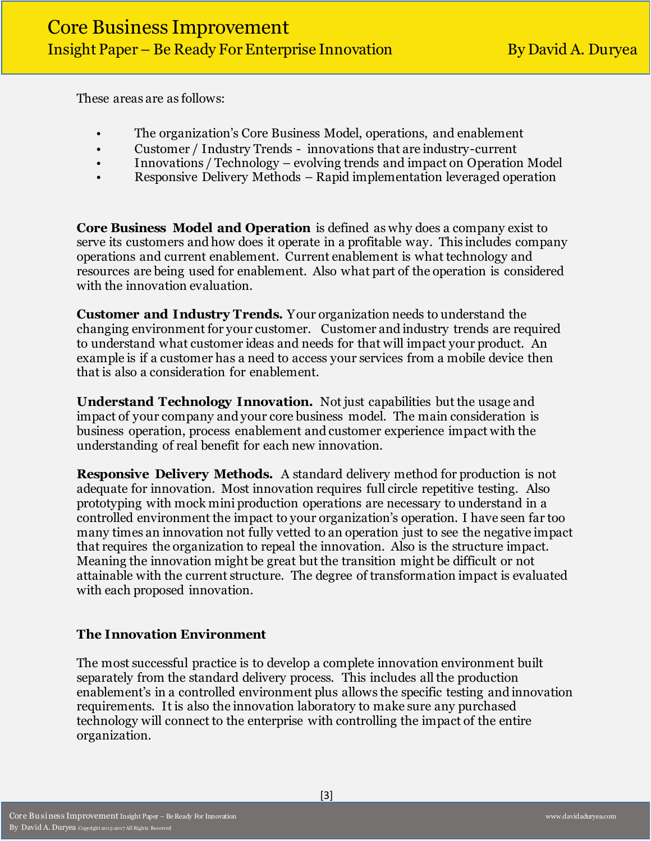These areas are as follows:

- The organization's Core Business Model, operations, and enablement
- Customer / Industry Trends innovations that are industry-current
- Innovations / Technology evolving trends and impact on Operation Model
- Responsive Delivery Methods Rapid implementation leveraged operation

**Core Business Model and Operation** is defined as why does a company exist to serve its customers and how does it operate in a profitable way. This includes company operations and current enablement. Current enablement is what technology and resources are being used for enablement. Also what part of the operation is considered with the innovation evaluation.

**Customer and Industry Trends.** Your organization needs to understand the changing environment for your customer. Customer and industry trends are required to understand what customer ideas and needs for that will impact your product. An example is if a customer has a need to access your services from a mobile device then that is also a consideration for enablement.

**Understand Technology Innovation.** Not just capabilities but the usage and impact of your company and your core business model. The main consideration is business operation, process enablement and customer experience impact with the understanding of real benefit for each new innovation.

**Responsive Delivery Methods.** A standard delivery method for production is not adequate for innovation. Most innovation requires full circle repetitive testing. Also prototyping with mock mini production operations are necessary to understand in a controlled environment the impact to your organization's operation. I have seen far too many times an innovation not fully vetted to an operation just to see the negative impact that requires the organization to repeal the innovation. Also is the structure impact. Meaning the innovation might be great but the transition might be difficult or not attainable with the current structure. The degree of transformation impact is evaluated with each proposed innovation.

## **The Innovation Environment**

The most successful practice is to develop a complete innovation environment built separately from the standard delivery process. This includes all the production enablement's in a controlled environment plus allows the specific testing and innovation requirements. It is also the innovation laboratory to make sure any purchased technology will connect to the enterprise with controlling the impact of the entire organization.